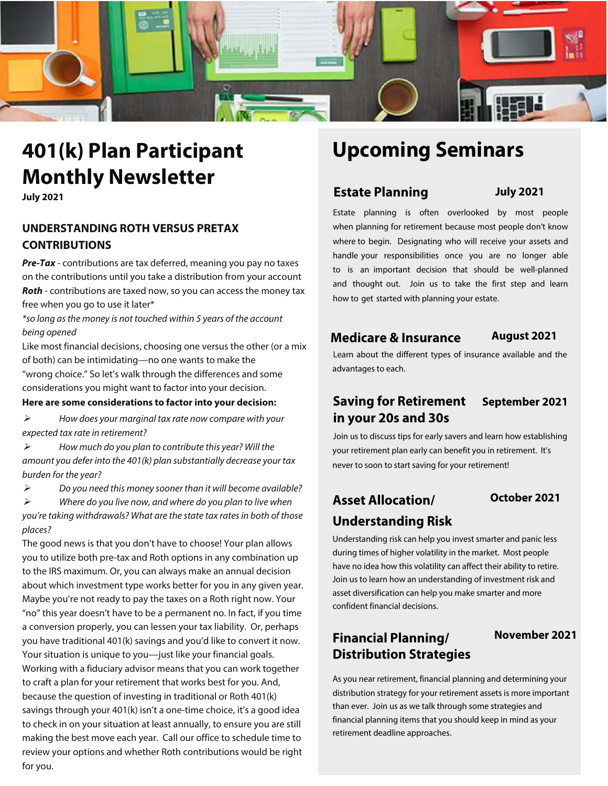

# **401(k) Plan Participant Monthly Newsletter**

**July 2021**

# **UNDERSTANDING ROTH VERSUS PRETAX CONTRIBUTIONS**

**Pre-Tax** - contributions are tax deferred, meaning you pay no taxes on the contributions until you take a distribution from your account **Roth** - contributions are taxed now, so you can access the money tax free when you go to use it later\*

\*so long as the money is not touched within 5 years of the account being opened

Like most financial decisions, choosing one versus the other (or a mix of both) can be intimidating—no one wants to make the "wrong choice." So let's walk through the differences and some considerations you might want to factor into your decision.

### **Here are some considerations to factor into your decision:**

 $\triangleright$  How does your marginal tax rate now compare with your expected tax rate in retirement?

 $\triangleright$  How much do you plan to contribute this year? Will the amount you defer into the 401(k) plan substantially decrease your tax burden for the year?

 $\triangleright$  Do you need this money sooner than it will become available?  $\triangleright$  Where do you live now, and where do you plan to live when

you're taking withdrawals? What are the state tax rates in both of those places?

The good news is that you don't have to choose! Your plan allows you to utilize both pre-tax and Roth options in any combination up to the IRS maximum. Or, you can always make an annual decision about which investment type works better for you in any given year. Maybe you're not ready to pay the taxes on a Roth right now. Your "no" this year doesn't have to be a permanent no. In fact, if you time a conversion properly, you can lessen your tax liability. Or, perhaps you have traditional 401(k) savings and you'd like to convert it now. Your situation is unique to you—just like your financial goals. Working with a fiduciary advisor means that you can work together to craft a plan for your retirement that works best for you. And, because the question of investing in traditional or Roth 401(k) savings through your 401(k) isn't a one-time choice, it's a good idea to check in on your situation at least annually, to ensure you are still making the best move each year. Call our office to schedule time to review your options and whether Roth contributions would be right for you.

# **Upcoming Seminars**

# **Estate Planning July 2021**

Estate planning is often overlooked by most people when planning for retirement because most people don't know where to begin. Designating who will receive your assets and handle your responsibilities once you are no longer able to is an important decision that should be well-planned and thought out. Join us to take the first step and learn how to get started with planning your estate.

# **Medicare & Insurance August 2021**

Learn about the different types of insurance available and the advantages to each.

# **Saving for Retirement September 2021 in your 20s and 30s**

Join us to discuss tips for early savers and learn how establishing your retirement plan early can benefit you in retirement. It's never to soon to start saving for your retirement!

# **Asset Allocation/ October 2021 Understanding Risk**

Understanding risk can help you invest smarter and panic less during times of higher volatility in the market. Most people have no idea how this volatility can affect their ability to retire. Join us to learn how an understanding of investment risk and asset diversification can help you make smarter and more confident financial decisions.

# **Financial Planning/ Distribution Strategies**

## **November 2021**

As you near retirement, financial planning and determining your distribution strategy for your retirement assets is more important than ever. Join us as we talk through some strategies and financial planning items that you should keep in mind as your retirement deadline approaches.